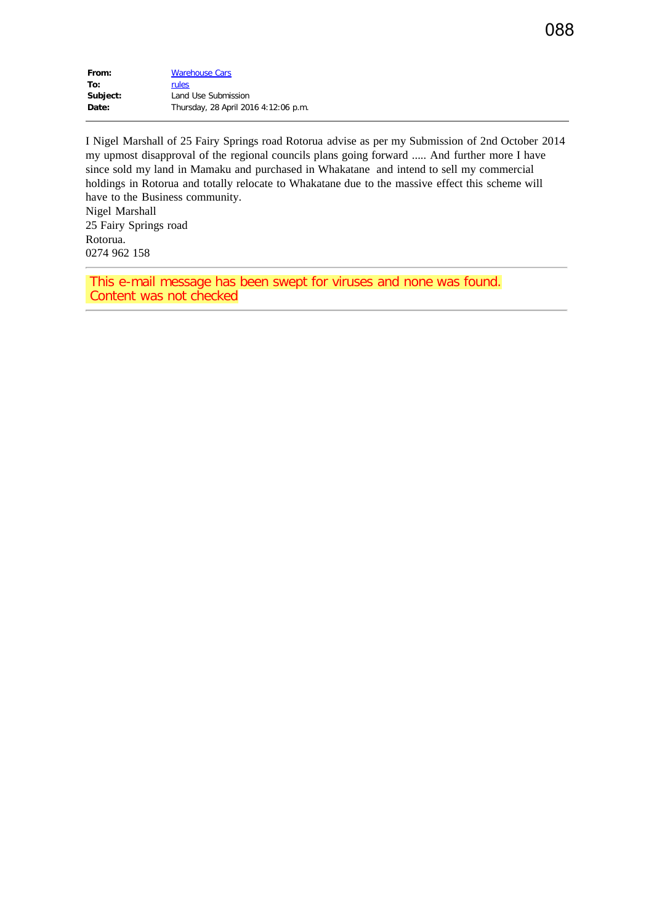| From:    | <b>Warehouse Cars</b>                |
|----------|--------------------------------------|
| To:      | rules                                |
| Subject: | Land Use Submission                  |
| Date:    | Thursday, 28 April 2016 4:12:06 p.m. |

I Nigel Marshall of 25 Fairy Springs road Rotorua advise as per my Submission of 2nd October 2014 my upmost disapproval of the regional councils plans going forward ..... And further more I have since sold my land in Mamaku and purchased in Whakatane and intend to sell my commercial holdings in Rotorua and totally relocate to Whakatane due to the massive effect this scheme will have to the Business community. Nigel Marshall

25 Fairy Springs road Rotorua. 0274 962 158

This e-mail message has been swept for viruses and none was found. Content was not checked